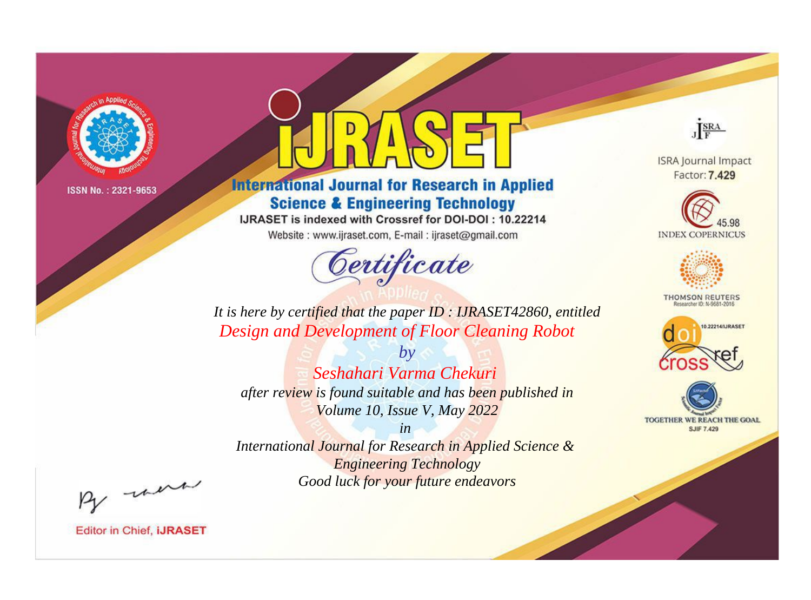

# **International Journal for Research in Applied Science & Engineering Technology**

IJRASET is indexed with Crossref for DOI-DOI: 10.22214

Website: www.ijraset.com, E-mail: ijraset@gmail.com



JERA

**ISRA Journal Impact** Factor: 7.429





**THOMSON REUTERS** 



TOGETHER WE REACH THE GOAL **SJIF 7.429** 

*It is here by certified that the paper ID : IJRASET42860, entitled Design and Development of Floor Cleaning Robot*

*by Seshahari Varma Chekuri after review is found suitable and has been published in Volume 10, Issue V, May 2022*

*in* 

*International Journal for Research in Applied Science & Engineering Technology Good luck for your future endeavors*

By morn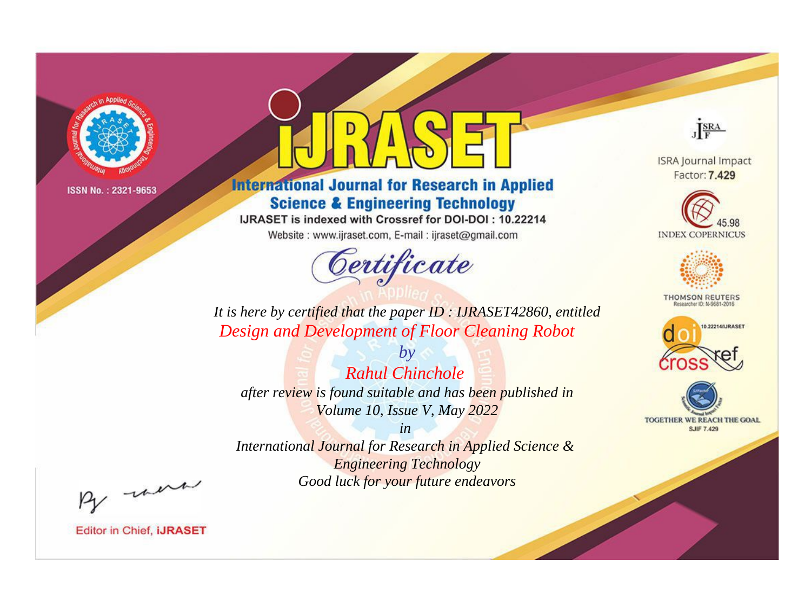

# **International Journal for Research in Applied Science & Engineering Technology**

IJRASET is indexed with Crossref for DOI-DOI: 10.22214

Website: www.ijraset.com, E-mail: ijraset@gmail.com



JERA

**ISRA Journal Impact** Factor: 7.429





**THOMSON REUTERS** 



TOGETHER WE REACH THE GOAL **SJIF 7.429** 

*It is here by certified that the paper ID : IJRASET42860, entitled Design and Development of Floor Cleaning Robot*

*by Rahul Chinchole after review is found suitable and has been published in Volume 10, Issue V, May 2022*

*in* 

*International Journal for Research in Applied Science & Engineering Technology Good luck for your future endeavors*

By morn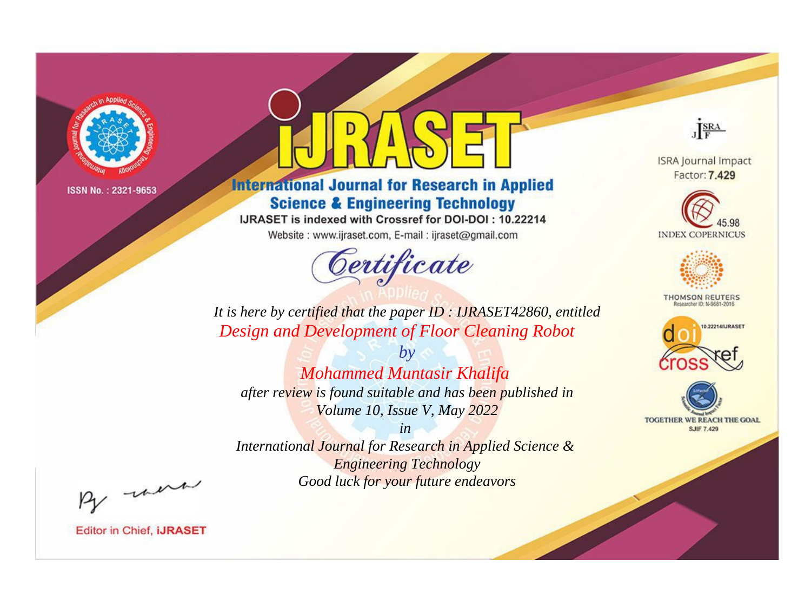

# **International Journal for Research in Applied Science & Engineering Technology**

IJRASET is indexed with Crossref for DOI-DOI: 10.22214

Website: www.ijraset.com, E-mail: ijraset@gmail.com



JERA

**ISRA Journal Impact** Factor: 7.429





**THOMSON REUTERS** 



TOGETHER WE REACH THE GOAL **SJIF 7.429** 

*It is here by certified that the paper ID : IJRASET42860, entitled Design and Development of Floor Cleaning Robot*

*by Mohammed Muntasir Khalifa after review is found suitable and has been published in Volume 10, Issue V, May 2022*

*in* 

*International Journal for Research in Applied Science & Engineering Technology Good luck for your future endeavors*

By morn